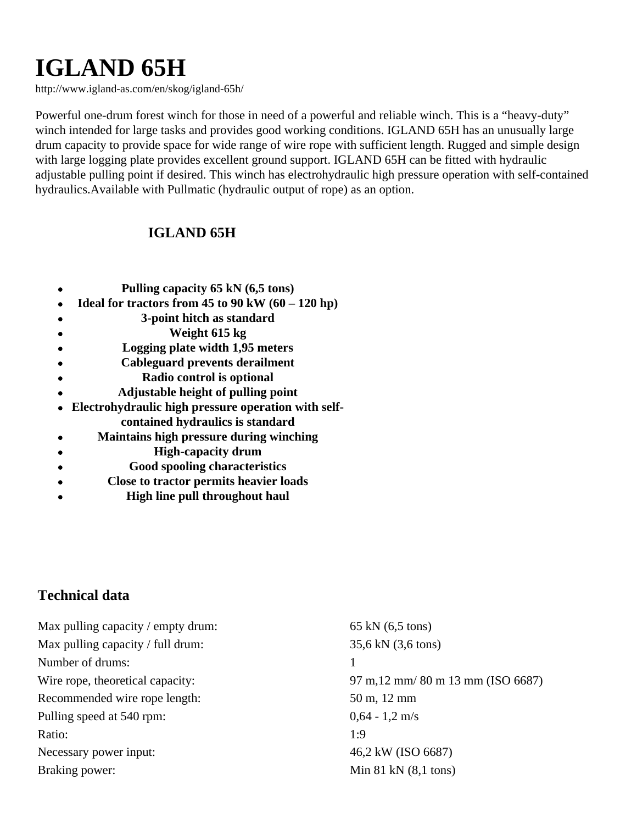## **IGLAND 65H**

http://www.igland-as.com/en/skog/igland-65h/

Powerful one-drum forest winch for those in need of a powerful and reliable winch. This is a "heavy-duty" winch intended for large tasks and provides good working conditions. IGLAND 65H has an unusually large drum capacity to provide space for wide range of wire rope with sufficient length. Rugged and simple design with large logging plate provides excellent ground support. IGLAND 65H can be fitted with hydraulic adjustable pulling point if desired. This winch has electrohydraulic high pressure operation with self-contained hydraulics.Available with Pullmatic (hydraulic output of rope) as an option.

## **IGLAND 65H**

- **Pulling capacity 65 kN (6,5 tons)**
- **Ideal for tractors from 45 to 90 kW (60 120 hp)**  $\bullet$
- **3-point hitch as standard**
- **Weight 615 kg**  $\bullet$
- **Logging plate width 1,95 meters**
- **Cableguard prevents derailment**  $\bullet$
- **Radio control is optional**  $\bullet$
- **Adjustable height of pulling point**
- **Electrohydraulic high pressure operation with self**
	- **contained hydraulics is standard**
- **Maintains high pressure during winching**  $\bullet$
- **High-capacity drum**  $\bullet$
- **Good spooling characteristics**  $\bullet$
- **Close to tractor permits heavier loads**  $\bullet$
- **High line pull throughout haul**

## **Technical data**

| Max pulling capacity / empty drum: | 65 kN $(6,5 \text{ tons})$         |
|------------------------------------|------------------------------------|
| Max pulling capacity / full drum:  | 35,6 kN (3,6 tons)                 |
| Number of drums:                   |                                    |
| Wire rope, theoretical capacity:   | 97 m, 12 mm/ 80 m 13 mm (ISO 6687) |
| Recommended wire rope length:      | 50 m, 12 mm                        |
| Pulling speed at 540 rpm:          | $0.64 - 1.2$ m/s                   |
| Ratio:                             | 1:9                                |
| Necessary power input:             | 46,2 kW (ISO 6687)                 |
| Braking power:                     | Min $81$ kN $(8,1$ tons)           |